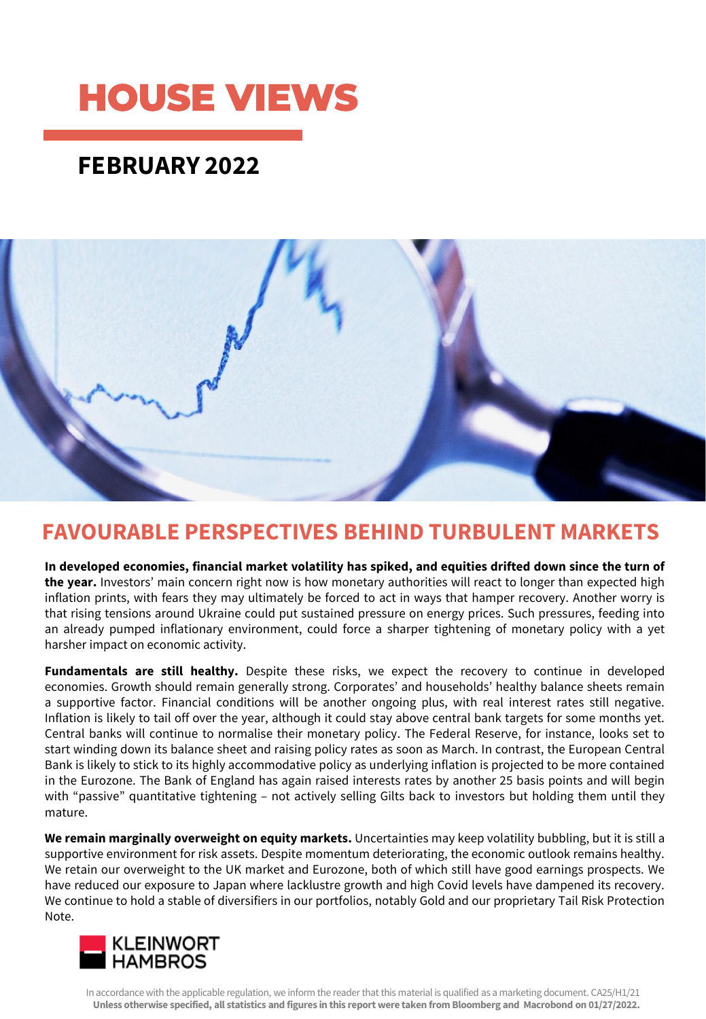# **HOUSE VIEWS**

### **FEBRUARY 2022**



### **FAVOURABLE PERSPECTIVES BEHIND TURBULENT MARKETS**

**In developed economies, financial market volatility has spiked, and equities drifted down since the turn of the year.** Investors' main concern right now is how monetary authorities will react to longer than expected high inflation prints, with fears they may ultimately be forced to act in ways that hamper recovery. Another worry is that rising tensions around Ukraine could put sustained pressure on energy prices. Such pressures, feeding into an already pumped inflationary environment, could force a sharper tightening of monetary policy with a yet harsher impact on economic activity.

**Fundamentals are still healthy.** Despite these risks, we expect the recovery to continue in developed economies. Growth should remain generally strong. Corporates' and households' healthy balance sheets remain a supportive factor. Financial conditions will be another ongoing plus, with real interest rates still negative. Inflation is likely to tail off over the year, although it could stay above central bank targets for some months yet. Central banks will continue to normalise their monetary policy. The Federal Reserve, for instance, looks set to start winding down its balance sheet and raising policy rates as soon as March. In contrast, the European Central Bank is likely to stick to its highly accommodative policy as underlying inflation is projected to be more contained in the Eurozone. The Bank of England has again raised interests rates by another 25 basis points and will begin with "passive" quantitative tightening – not actively selling Gilts back to investors but holding them until they mature.

**We remain marginally overweight on equity markets.** Uncertainties may keep volatility bubbling, but it is still a supportive environment for risk assets. Despite momentum deteriorating, the economic outlook remains healthy. We retain our overweight to the UK market and Eurozone, both of which still have good earnings prospects. We have reduced our exposure to Japan where lacklustre growth and high Covid levels have dampened its recovery. We continue to hold a stable of diversifiers in our portfolios, notably Gold and our proprietary Tail Risk Protection Note.



In accordance with the applicable regulation, we inform the reader that this material is qualified as a marketing document. CA25/H1/21 **Unless otherwise specified, all statistics and figures in this report were taken from Bloomberg and Macrobond on 01/27/2022.**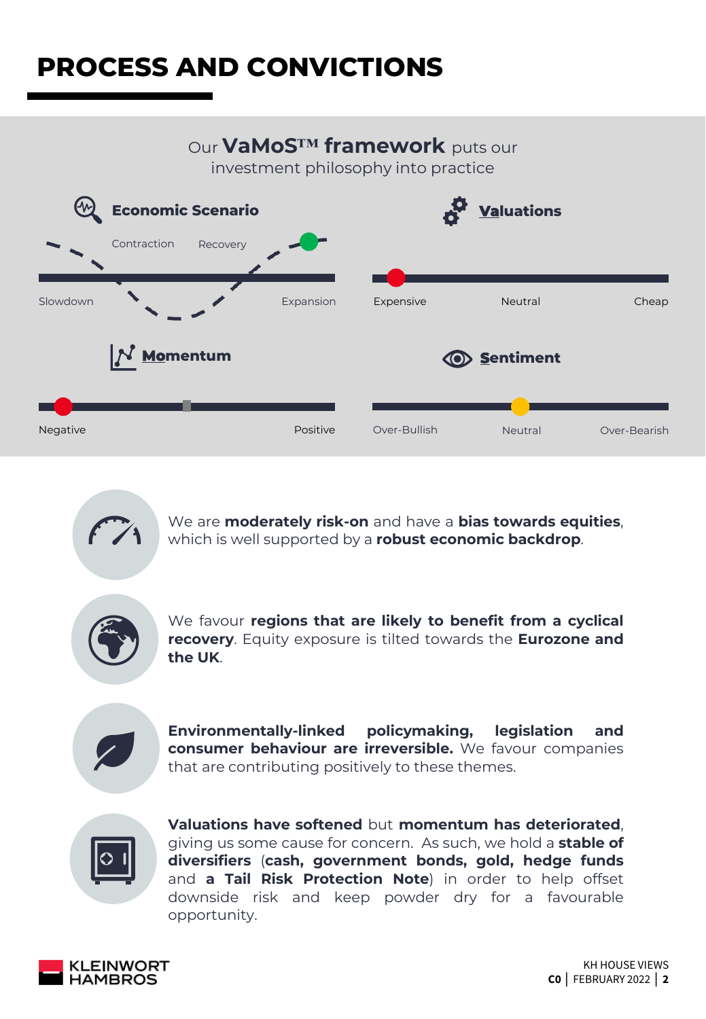## **PROCESS AND CONVICTIONS**

### Our **VaMoS™ framework** puts our

investment philosophy into practice





We are **moderately risk-on** and have a **bias towards equities**, which is well supported by a **robust economic backdrop**.



We favour **regions that are likely to benefit from a cyclical recovery**. Equity exposure is tilted towards the **Eurozone and the UK**.



**Environmentally-linked policymaking, legislation and consumer behaviour are irreversible.** We favour companies that are contributing positively to these themes.



**Valuations have softened** but **momentum has deteriorated**, giving us some cause for concern. As such, we hold a **stable of diversifiers** (**cash, government bonds, gold, hedge funds** and **a Tail Risk Protection Note**) in order to help offset downside risk and keep powder dry for a favourable opportunity.

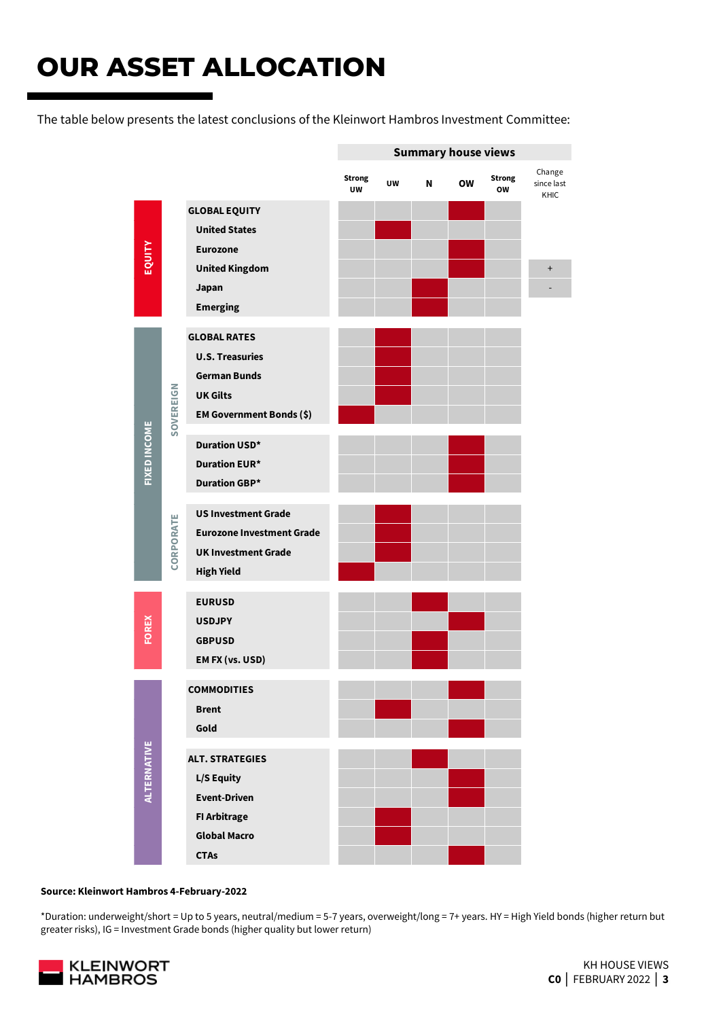## **OUR ASSET ALLOCATION**

The table below presents the latest conclusions of the Kleinwort Hambros Investment Committee:



#### **Source: Kleinwort Hambros 4-February-2022**

\*Duration: underweight/short = Up to 5 years, neutral/medium = 5-7 years, overweight/long = 7+ years. HY = High Yield bonds (higher return but

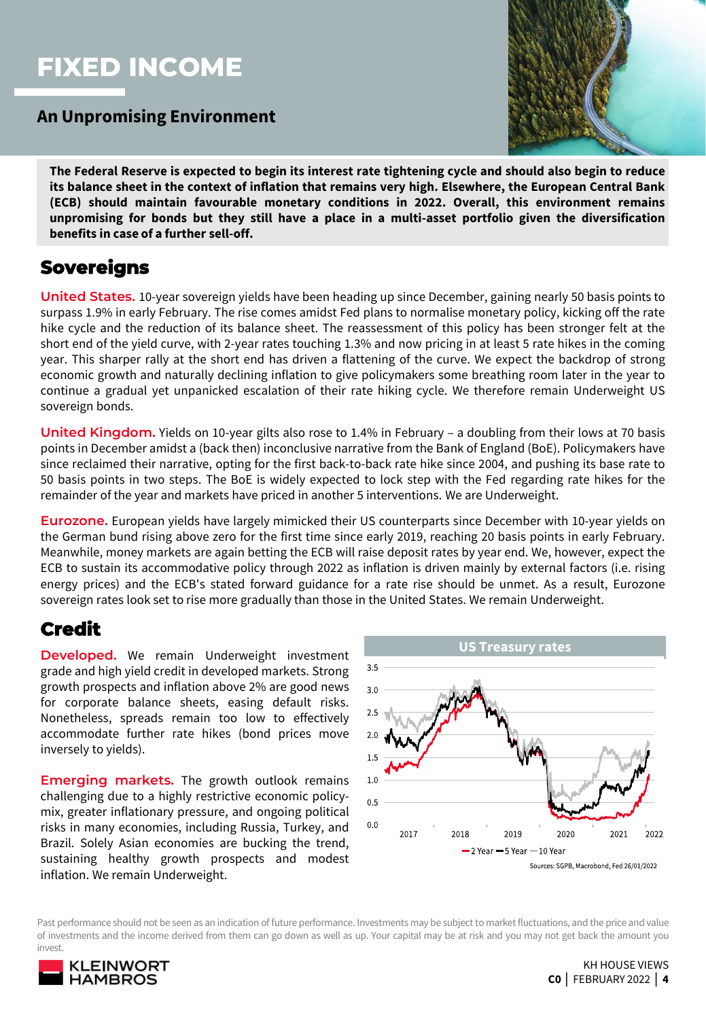### **FIXED INCOME**

### **An Unpromising Environment**



The Federal Reserve is expected to begin its interest rate tightening cycle and should also begin to reduce its balance sheet in the context of inflation that remains very high. Elsewhere, the European Central Bank **(ECB) should maintain favourable monetary conditions in 2022. Overall, this environment remains unpromising for bonds but they still have a place in a multi-asset portfolio given the diversification benefits in case of a further sell-off.**

### **Sovereigns**

**United States.** 10-year sovereign yields have been heading up since December, gaining nearly 50 basis points to surpass 1.9% in early February. The rise comes amidst Fed plans to normalise monetary policy, kicking off the rate hike cycle and the reduction of its balance sheet. The reassessment of this policy has been stronger felt at the short end of the yield curve, with 2-year rates touching 1.3% and now pricing in at least 5 rate hikes in the coming year. This sharper rally at the short end has driven a flattening of the curve. We expect the backdrop of strong economic growth and naturally declining inflation to give policymakers some breathing room later in the year to continue a gradual yet unpanicked escalation of their rate hiking cycle. We therefore remain Underweight US sovereign bonds.

**United Kingdom.** Yields on 10-year gilts also rose to 1.4% in February – a doubling from their lows at 70 basis points in December amidst a (back then) inconclusive narrative from the Bank of England (BoE). Policymakers have since reclaimed their narrative, opting for the first back-to-back rate hike since 2004, and pushing its base rate to 50 basis points in two steps. The BoE is widely expected to lock step with the Fed regarding rate hikes for the remainder of the year and markets have priced in another 5 interventions. We are Underweight.

**Eurozone.** European yields have largely mimicked their US counterparts since December with 10-year yields on the German bund rising above zero for the first time since early 2019, reaching 20 basis points in early February. Meanwhile, money markets are again betting the ECB will raise deposit rates by year end. We, however, expect the ECB to sustain its accommodative policy through 2022 as inflation is driven mainly by external factors (i.e. rising energy prices) and the ECB's stated forward guidance for a rate rise should be unmet. As a result, Eurozone sovereign rates look set to rise more gradually than those in the United States. We remain Underweight.

### **Credit**

**Developed.** We remain Underweight investment grade and high yield credit in developed markets. Strong growth prospects and inflation above 2% are good news for corporate balance sheets, easing default risks. Nonetheless, spreads remain too low to effectively accommodate further rate hikes (bond prices move inversely to yields).

**Emerging markets.** The growth outlook remains challenging due to a highly restrictive economic policymix, greater inflationary pressure, and ongoing political risks in many economies, including Russia, Turkey, and Brazil. Solely Asian economies are bucking the trend, sustaining healthy growth prospects and modest inflation. We remain Underweight.



Past performance should not be seen as an indication of future performance. Investments may be subject to marketfluctuations, and the price and value of investments and the income derived from them can go down as well as up. Your capital may be at risk and you may not get back the amount you invest.

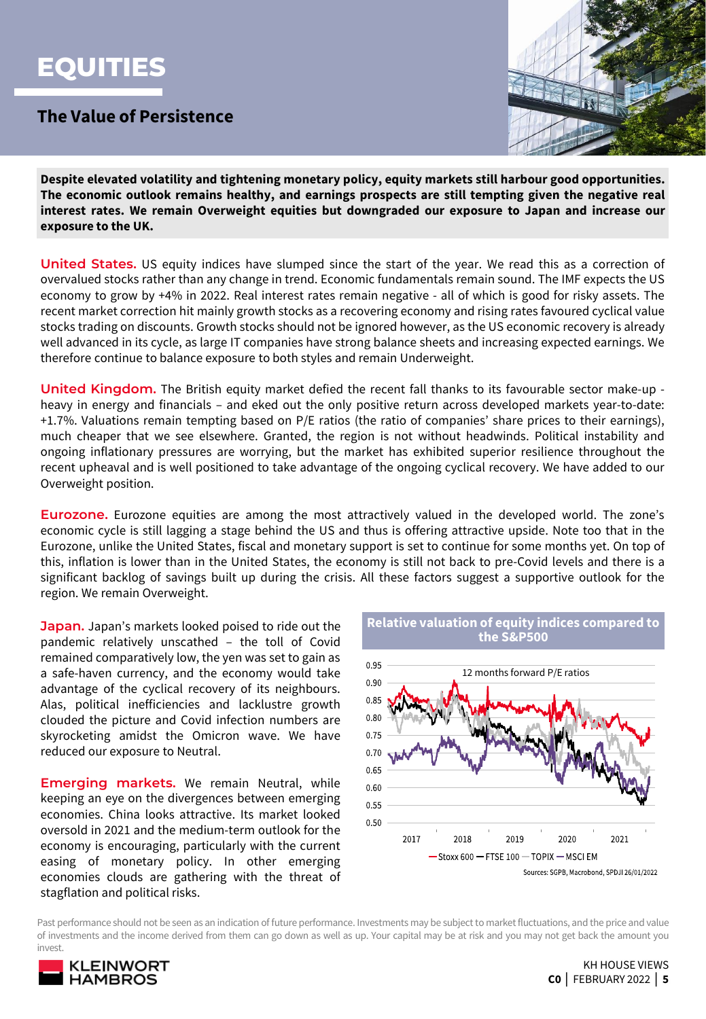## **EQUITIES**

### **The Value of Persistence**



**Despite elevated volatility and tightening monetary policy, equity markets still harbour good opportunities. The economic outlook remains healthy, and earnings prospects are still tempting given the negative real interest rates. We remain Overweight equities but downgraded our exposure to Japan and increase our exposure to the UK.**

**United States.** US equity indices have slumped since the start of the year. We read this as a correction of overvalued stocks rather than any change in trend. Economic fundamentals remain sound. The IMF expects the US economy to grow by +4% in 2022. Real interest rates remain negative - all of which is good for risky assets. The recent market correction hit mainly growth stocks as a recovering economy and rising rates favoured cyclical value stocks trading on discounts. Growth stocks should not be ignored however, as the US economic recovery is already well advanced in its cycle, as large IT companies have strong balance sheets and increasing expected earnings. We therefore continue to balance exposure to both styles and remain Underweight.

**United Kingdom.** The British equity market defied the recent fall thanks to its favourable sector make-up heavy in energy and financials – and eked out the only positive return across developed markets year-to-date: +1.7%. Valuations remain tempting based on P/E ratios (the ratio of companies' share prices to their earnings), much cheaper that we see elsewhere. Granted, the region is not without headwinds. Political instability and ongoing inflationary pressures are worrying, but the market has exhibited superior resilience throughout the recent upheaval and is well positioned to take advantage of the ongoing cyclical recovery. We have added to our Overweight position.

**Eurozone.** Eurozone equities are among the most attractively valued in the developed world. The zone's economic cycle is still lagging a stage behind the US and thus is offering attractive upside. Note too that in the Eurozone, unlike the United States, fiscal and monetary support is set to continue for some months yet. On top of this, inflation is lower than in the United States, the economy is still not back to pre-Covid levels and there is a significant backlog of savings built up during the crisis. All these factors suggest a supportive outlook for the region. We remain Overweight.

**Japan.** Japan's markets looked poised to ride out the pandemic relatively unscathed – the toll of Covid remained comparatively low, the yen was set to gain as a safe-haven currency, and the economy would take advantage of the cyclical recovery of its neighbours. Alas, political inefficiencies and lacklustre growth clouded the picture and Covid infection numbers are skyrocketing amidst the Omicron wave. We have reduced our exposure to Neutral.

**Emerging markets.** We remain Neutral, while keeping an eye on the divergences between emerging economies. China looks attractive. Its market looked oversold in 2021 and the medium-term outlook for the economy is encouraging, particularly with the current easing of monetary policy. In other emerging economies clouds are gathering with the threat of stagflation and political risks.



Past performance should not be seen as an indication of future performance. Investments may be subject to marketfluctuations, and the price and value of investments and the income derived from them can go down as well as up. Your capital may be at risk and you may not get back the amount you invest.

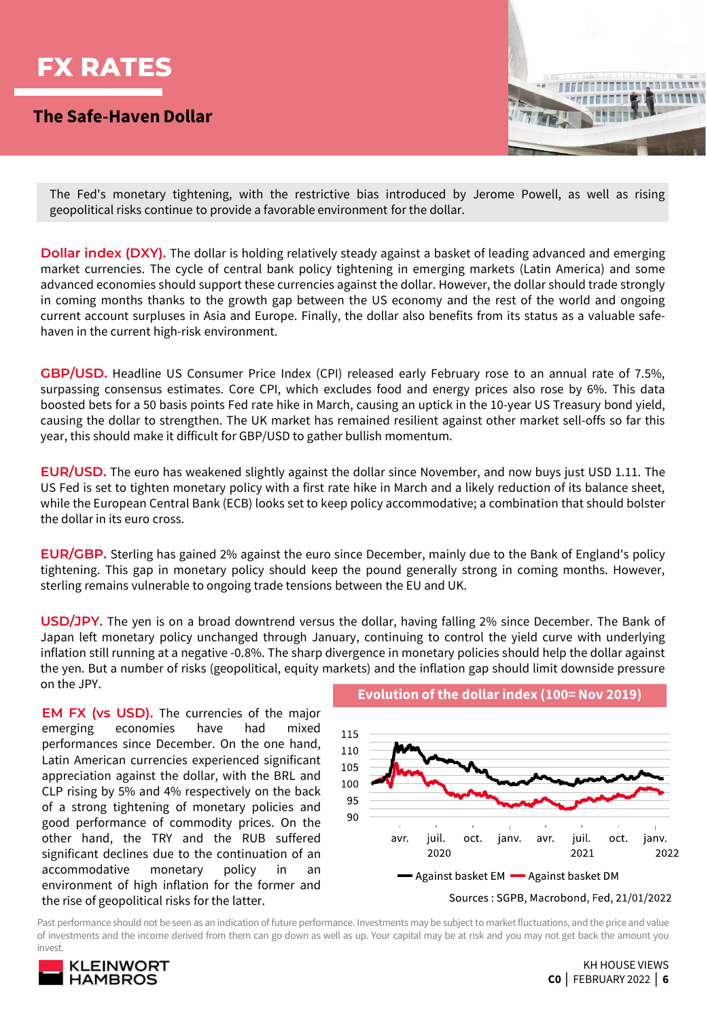

### **The Safe-Haven Dollar**



The Fed's monetary tightening, with the restrictive bias introduced by Jerome Powell, as well as rising geopolitical risks continue to provide a favorable environment for the dollar.

**Dollar index (DXY).** The dollar is holding relatively steady against a basket of leading advanced and emerging market currencies. The cycle of central bank policy tightening in emerging markets (Latin America) and some advanced economies should support these currencies against the dollar. However, the dollar should trade strongly in coming months thanks to the growth gap between the US economy and the rest of the world and ongoing current account surpluses in Asia and Europe. Finally, the dollar also benefits from its status as a valuable safehaven in the current high-risk environment.

**GBP/USD.** Headline US Consumer Price Index (CPI) released early February rose to an annual rate of 7.5%, surpassing consensus estimates. Core CPI, which excludes food and energy prices also rose by 6%. This data boosted bets for a 50 basis points Fed rate hike in March, causing an uptick in the 10-year US Treasury bond yield, causing the dollar to strengthen. The UK market has remained resilient against other market sell-offs so far this year, this should make it difficult for GBP/USD to gather bullish momentum.

**EUR/USD.** The euro has weakened slightly against the dollar since November, and now buys just USD 1.11. The US Fed is set to tighten monetary policy with a first rate hike in March and a likely reduction of its balance sheet, while the European Central Bank (ECB) looks set to keep policy accommodative; a combination that should bolster the dollar in its euro cross.

**EUR/GBP.** Sterling has gained 2% against the euro since December, mainly due to the Bank of England's policy tightening. This gap in monetary policy should keep the pound generally strong in coming months. However, sterling remains vulnerable to ongoing trade tensions between the EU and UK.

**USD/JPY.** The yen is on a broad downtrend versus the dollar, having falling 2% since December. The Bank of Japan left monetary policy unchanged through January, continuing to control the yield curve with underlying inflation still running at a negative -0.8%. The sharp divergence in monetary policies should help the dollar against the yen. But a number of risks (geopolitical, equity markets) and the inflation gap should limit downside pressure on the JPY. **Evolution of the dollar index (100= Nov 2019)**

**EM FX (vs USD).** The currencies of the major emerging economies have had mixed performances since December. On the one hand, Latin American currencies experienced significant appreciation against the dollar, with the BRL and CLP rising by 5% and 4% respectively on the back of a strong tightening of monetary policies and good performance of commodity prices. On the other hand, the TRY and the RUB suffered significant declines due to the continuation of an accommodative monetary policy in an environment of high inflation for the former and the rise of geopolitical risks for the latter.



Past performance should not be seen as an indication of future performance. Investments may be subject to marketfluctuations, and the price and value of investments and the income derived from them can go down as well as up. Your capital may be at risk and you may not get back the amount you invest.

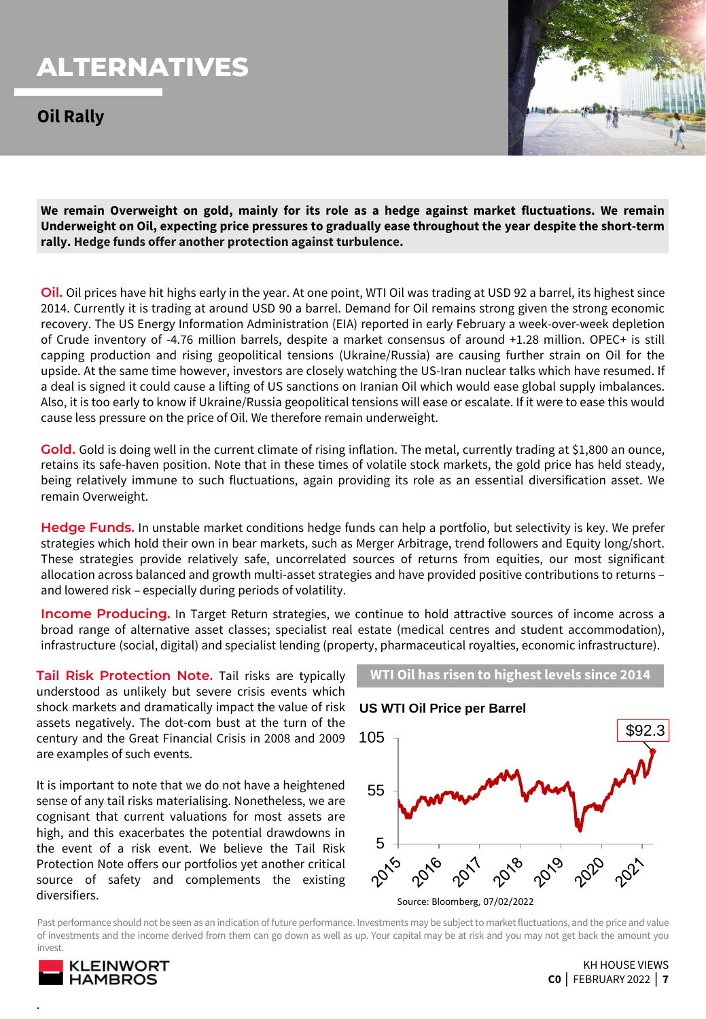## **ALTERNATIVES**

**Oil Rally**



**We remain Overweight on gold, mainly for its role as a hedge against market fluctuations. We remain Underweight on Oil, expecting price pressures to gradually ease throughout the year despite the short-term rally. Hedge funds offer another protection against turbulence.**

**Oil.** Oil prices have hit highs early in the year. At one point, WTI Oil was trading at USD 92 a barrel, its highest since 2014. Currently it is trading at around USD 90 a barrel. Demand for Oil remains strong given the strong economic recovery. The US Energy Information Administration (EIA) reported in early February a week-over-week depletion of Crude inventory of -4.76 million barrels, despite a market consensus of around +1.28 million. OPEC+ is still capping production and rising geopolitical tensions (Ukraine/Russia) are causing further strain on Oil for the upside. At the same time however, investors are closely watching the US-Iran nuclear talks which have resumed. If a deal is signed it could cause a lifting of US sanctions on Iranian Oil which would ease global supply imbalances. Also, it is too early to know if Ukraine/Russia geopolitical tensions will ease or escalate. If it were to ease this would cause less pressure on the price of Oil. We therefore remain underweight.

Gold. Gold is doing well in the current climate of rising inflation. The metal, currently trading at \$1,800 an ounce, retains its safe-haven position. Note that in these times of volatile stock markets, the gold price has held steady, being relatively immune to such fluctuations, again providing its role as an essential diversification asset. We remain Overweight.

**Hedge Funds.** In unstable market conditions hedge funds can help a portfolio, but selectivity is key. We prefer strategies which hold their own in bear markets, such as Merger Arbitrage, trend followers and Equity long/short. These strategies provide relatively safe, uncorrelated sources of returns from equities, our most significant allocation across balanced and growth multi-asset strategies and have provided positive contributions to returns – and lowered risk – especially during periods of volatility.

**Income Producing.** In Target Return strategies, we continue to hold attractive sources of income across a broad range of alternative asset classes; specialist real estate (medical centres and student accommodation), infrastructure (social, digital) and specialist lending (property, pharmaceutical royalties, economic infrastructure).

**Tail Risk Protection Note.** Tail risks are typically understood as unlikely but severe crisis events which shock markets and dramatically impact the value of risk assets negatively. The dot-com bust at the turn of the century and the Great Financial Crisis in 2008 and 2009 are examples of such events.

It is important to note that we do not have a heightened sense of any tail risks materialising. Nonetheless, we are cognisant that current valuations for most assets are high, and this exacerbates the potential drawdowns in the event of a risk event. We believe the Tail Risk Protection Note offers our portfolios yet another critical source of safety and complements the existing diversifiers.



Past performance should not be seen as an indication of future performance. Investments may be subject to marketfluctuations, and the price and value of investments and the income derived from them can go down as well as up. Your capital may be at risk and you may not get back the amount you invest.



.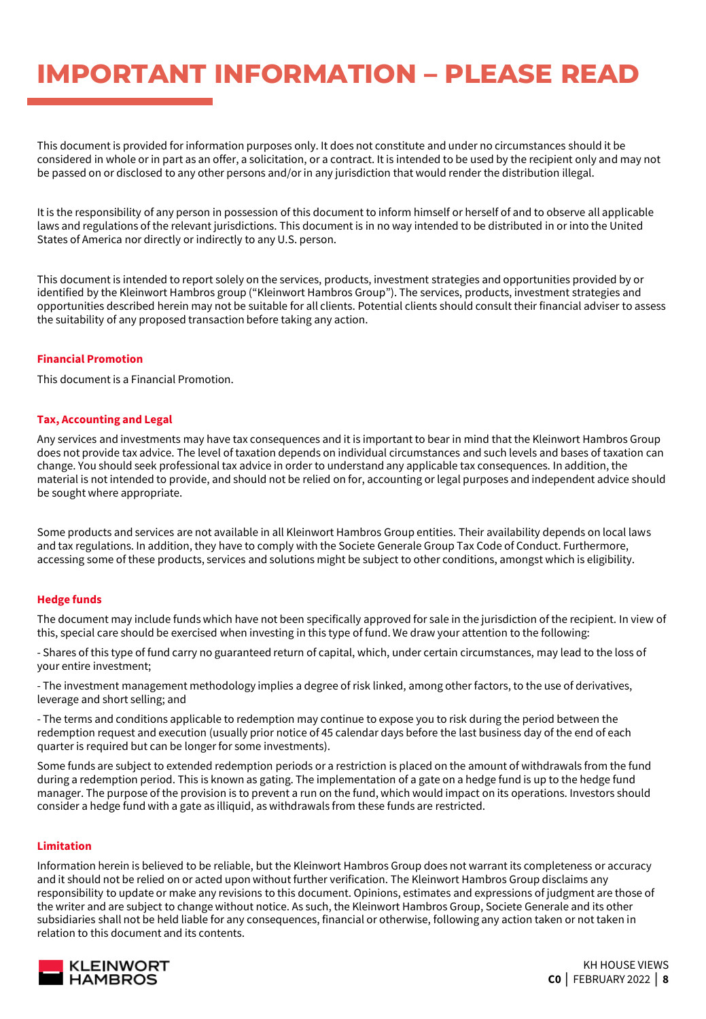## **IMPORTANT INFORMATION – PLEASE READ**

This document is provided for information purposes only. It does not constitute and under no circumstances should it be considered in whole or in part as an offer, a solicitation, or a contract. It is intended to be used by the recipient only and may not be passed on or disclosed to any other persons and/or in any jurisdiction that would render the distribution illegal.

It is the responsibility of any person in possession of this document to inform himself or herself of and to observe all applicable laws and regulations of the relevant jurisdictions. This document is in no way intended to be distributed in or into the United States of America nor directly or indirectly to any U.S. person.

This document is intended to report solely on the services, products, investment strategies and opportunities provided by or identified by the Kleinwort Hambros group ("Kleinwort Hambros Group"). The services, products, investment strategies and opportunities described herein may not be suitable for all clients. Potential clients should consult their financial adviser to assess the suitability of any proposed transaction before taking any action.

#### **Financial Promotion**

This document is a Financial Promotion.

#### **Tax, Accounting and Legal**

Any services and investments may have tax consequences and it is important to bear in mind that the Kleinwort Hambros Group does not provide tax advice. The level of taxation depends on individual circumstances and such levels and bases of taxation can change. You should seek professional tax advice in order to understand any applicable tax consequences. In addition, the material is not intended to provide, and should not be relied on for, accounting or legal purposes and independent advice should be sought where appropriate.

Some products and services are not available in all Kleinwort Hambros Group entities. Their availability depends on local laws and tax regulations. In addition, they have to comply with the Societe Generale Group Tax Code of Conduct. Furthermore, accessing some of these products, services and solutions might be subject to other conditions, amongst which is eligibility.

#### **Hedge funds**

The document may include funds which have not been specifically approved for sale in the jurisdiction of the recipient. In view of this, special care should be exercised when investing in this type of fund. We draw your attention to the following:

- Shares of this type of fund carry no guaranteed return of capital, which, under certain circumstances, may lead to the loss of your entire investment;

- The investment management methodology implies a degree of risk linked, among other factors, to the use of derivatives, leverage and short selling; and

- The terms and conditions applicable to redemption may continue to expose you to risk during the period between the redemption request and execution (usually prior notice of 45 calendar days before the last business day of the end of each quarter is required but can be longer for some investments).

Some funds are subject to extended redemption periods or a restriction is placed on the amount of withdrawals from the fund during a redemption period. This is known as gating. The implementation of a gate on a hedge fund is up to the hedge fund manager. The purpose of the provision is to prevent a run on the fund, which would impact on its operations. Investors should consider a hedge fund with a gate as illiquid, as withdrawals from these funds are restricted.

#### **Limitation**

Information herein is believed to be reliable, but the Kleinwort Hambros Group does not warrant its completeness or accuracy and it should not be relied on or acted upon without further verification. The Kleinwort Hambros Group disclaims any responsibility to update or make any revisions to this document. Opinions, estimates and expressions of judgment are those of the writer and are subject to change without notice. As such, the Kleinwort Hambros Group, Societe Generale and its other subsidiaries shall not be held liable for any consequences, financial or otherwise, following any action taken or not taken in relation to this document and its contents.

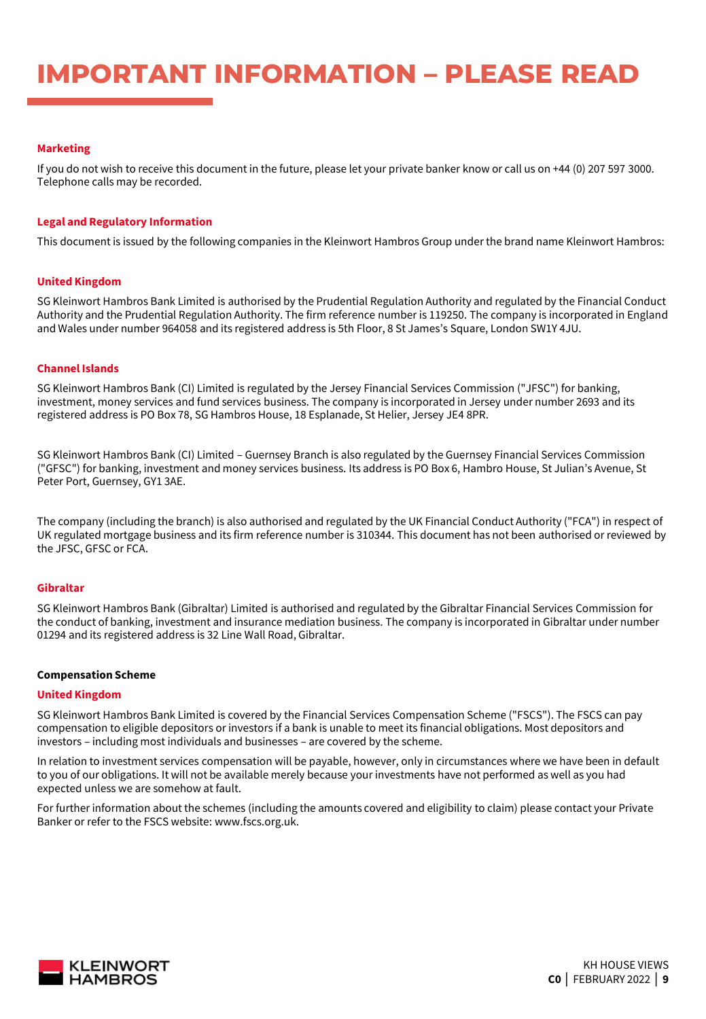## **IMPORTANT INFORMATION – PLEASE READ**

#### **Marketing**

If you do not wish to receive this document in the future, please let your private banker know or call us on +44 (0) 207 597 3000. Telephone calls may be recorded.

#### **Legal and Regulatory Information**

This document is issued by the following companies in the Kleinwort Hambros Group under the brand name Kleinwort Hambros:

#### **United Kingdom**

SG Kleinwort Hambros Bank Limited is authorised by the Prudential Regulation Authority and regulated by the Financial Conduct Authority and the Prudential Regulation Authority. The firm reference number is 119250. The company is incorporated in England and Wales under number 964058 and its registered address is 5th Floor, 8 St James's Square, London SW1Y 4JU.

#### **Channel Islands**

SG Kleinwort Hambros Bank (CI) Limited is regulated by the Jersey Financial Services Commission ("JFSC") for banking, investment, money services and fund services business. The company is incorporated in Jersey under number 2693 and its registered address is PO Box 78, SG Hambros House, 18 Esplanade, St Helier, Jersey JE4 8PR.

SG Kleinwort Hambros Bank (CI) Limited – Guernsey Branch is also regulated by the Guernsey Financial Services Commission ("GFSC") for banking, investment and money services business. Its address is PO Box 6, Hambro House, St Julian's Avenue, St Peter Port, Guernsey, GY1 3AE.

The company (including the branch) is also authorised and regulated by the UK Financial Conduct Authority ("FCA") in respect of UK regulated mortgage business and its firm reference number is 310344. This document has not been authorised or reviewed by the JFSC, GFSC or FCA.

#### **Gibraltar**

SG Kleinwort Hambros Bank (Gibraltar) Limited is authorised and regulated by the Gibraltar Financial Services Commission for the conduct of banking, investment and insurance mediation business. The company is incorporated in Gibraltar under number 01294 and its registered address is 32 Line Wall Road, Gibraltar.

#### **Compensation Scheme**

#### **United Kingdom**

SG Kleinwort Hambros Bank Limited is covered by the Financial Services Compensation Scheme ("FSCS"). The FSCS can pay compensation to eligible depositors or investors if a bank is unable to meet its financial obligations. Most depositors and investors – including most individuals and businesses – are covered by the scheme.

In relation to investment services compensation will be payable, however, only in circumstances where we have been in default to you of our obligations. It will not be available merely because your investments have not performed as well as you had expected unless we are somehow at fault.

For further information about the schemes (including the amounts covered and eligibility to claim) please contact your Private Banker or refer to the FSCS website: www.fscs.org.uk.